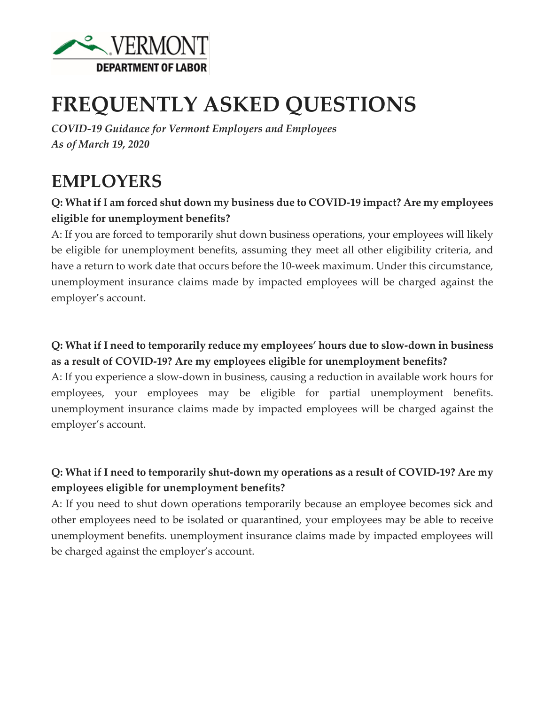

# **FREQUENTLY ASKED QUESTIONS**

*COVID-19 Guidance for Vermont Employers and Employees As of March 19, 2020*

# **EMPLOYERS**

### **Q: What if I am forced shut down my business due to COVID-19 impact? Are my employees eligible for unemployment benefits?**

A: If you are forced to temporarily shut down business operations, your employees will likely be eligible for unemployment benefits, assuming they meet all other eligibility criteria, and have a return to work date that occurs before the 10-week maximum. Under this circumstance, unemployment insurance claims made by impacted employees will be charged against the employer's account.

#### **Q: What if I need to temporarily reduce my employees' hours due to slow-down in business as a result of COVID-19? Are my employees eligible for unemployment benefits?**

A: If you experience a slow-down in business, causing a reduction in available work hours for employees, your employees may be eligible for partial unemployment benefits. unemployment insurance claims made by impacted employees will be charged against the employer's account.

## **Q: What if I need to temporarily shut-down my operations as a result of COVID-19? Are my employees eligible for unemployment benefits?**

A: If you need to shut down operations temporarily because an employee becomes sick and other employees need to be isolated or quarantined, your employees may be able to receive unemployment benefits. unemployment insurance claims made by impacted employees will be charged against the employer's account.